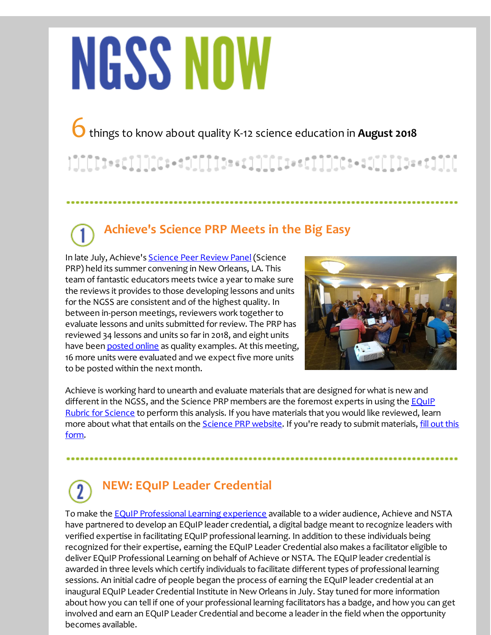# **NGSS NOW**

6things to know about quality K-12 science education in **August <sup>2018</sup>**

### $[1] [[] ] \centering \begin{minipage}{0.99\linewidth} \textbf{1} & \textbf{1} & \textbf{1} & \textbf{1} & \textbf{1} & \textbf{1} & \textbf{1} & \textbf{1} & \textbf{1} & \textbf{1} & \textbf{1} & \textbf{1} & \textbf{1} & \textbf{1} & \textbf{1} & \textbf{1} & \textbf{1} & \textbf{1} & \textbf{1} & \textbf{1} & \textbf{1} & \textbf{1} & \textbf{1} & \textbf{1} & \textbf{1} & \textbf{1} & \textbf{1} & \textbf{1} & \$

## **Achieve's Science PRP Meets in the Big Easy**

In late July, Achieve's [Science](http://r20.rs6.net/tn.jsp?f=001WobU7Z_9bySiU1VrbRog3XNI23S5iasMX0m6H6zOZmVsHV5LLQUKnnzFdkub8yOlAEyZglF3AcXhADpPLCnRCgcSpyGbAUQinCj0fMkeJu0meJGD0F2jfo67WfMeBt1rbwZFCTfHHE6Rt5fyjrp9qxqoI9fBbb7QHsS6XPZflto-4K7qkhiMie1A2ENRO28E&c=&ch=) Peer Review Panel (Science PRP) held its summer convening in New Orleans, LA. This team of fantastic educators meets twice a year to make sure the reviews it provides to those developing lessons and units for the NGSS are consistent and of the highest quality. In between in-person meetings, reviewers work together to evaluate lessons and units submitted for review. The PRP has reviewed 34 lessons and units so far in 2018, and eight units have been **[posted](http://r20.rs6.net/tn.jsp?f=001WobU7Z_9bySiU1VrbRog3XNI23S5iasMX0m6H6zOZmVsHV5LLQUKnnzFdkub8yOlY_Iiq_25pUVYY8ckwbIbfupK_wZMDv6MryO_hqycyUytVFspm1TLDpmt-sVGFt03aHsC9ml0lmK7WaRMxXAo3tuLGYERD_2tNjuqTAzx_d4IStaH41R-Ryp16Pr2XSnmuE3ov3kx6pWG-m14l-FWY6If6cRtJT06fwjXzergCeA=&c=&ch=) online** as quality examples. At this meeting, 16 more units were evaluated and we expect five more units to be posted within the next month.



Achieve is working hard to unearth and evaluate materials that are designed for what is new and different in the NGSS, and the Science PRP members are the foremost experts in using the EQuIP Rubric for Science to perform this analysis. If you have materials that you would like reviewed, learn more about what that entails on the [Science](http://r20.rs6.net/tn.jsp?f=001WobU7Z_9bySiU1VrbRog3XNI23S5iasMX0m6H6zOZmVsHV5LLQUKnnzFdkub8yOlAEyZglF3AcXhADpPLCnRCgcSpyGbAUQinCj0fMkeJu0meJGD0F2jfo67WfMeBt1rbwZFCTfHHE6Rt5fyjrp9qxqoI9fBbb7QHsS6XPZflto-4K7qkhiMie1A2ENRO28E&c=&ch=) PRP website. If you're ready to submit [materials,](http://r20.rs6.net/tn.jsp?f=001WobU7Z_9bySiU1VrbRog3XNI23S5iasMX0m6H6zOZmVsHV5LLQUKnnC6pJgGDUoa-cfWOjrqZpOVF5cpWJHAe0UAaIq2xkgi2Vo9qgG-yR_7-AWz5xV53VpK9nd7mdMn6qdQCPq70GZgRrmOj0RWRSoOCEt5RRFe2na6fvZ-PPupzIwuYMj5MzGo4-L3Ci37qriQBoCv-dTMyMhGWHvOZDV3azFvG_cO7pGuxTUMtv1eO2tx99A7YaSEfeFWwBRD3m9vwegmwVPWG7HihT7anwSjLoiz4W35eIAZ1idbGifqtRZhS3pydg==&c=&ch=) fill out this form.

#### **NEW: EQuIP Leader Credential**

To make the **EQuIP [Professional](http://r20.rs6.net/tn.jsp?f=001WobU7Z_9bySiU1VrbRog3XNI23S5iasMX0m6H6zOZmVsHV5LLQUKnnC6pJgGDUoa_mmjsWnLTyl3tp-z3T1O93DKwScTLbrc-LoHy5Ndgxzymc9kV1Qc0drjcZK_H7r-0QBXQTGK0UPBv7OllLCahJPOagVxACYs1sBIML-9rw_zHg-8XE8d5zjHP0GfoEKYt16BbwNlW5WxJpNJyTn9BYZkESVJs7_8&c=&ch=) Learning experience** available to a wider audience, Achieve and NSTA have partnered to develop an EQuIP leader credential, a digital badge meant to recognize leaders with verified expertise in facilitating EQuIP professional learning. In addition to these individuals being recognized for their expertise, earning the EQuIP Leader Credential also makes a facilitator eligible to deliver EQuIP Professional Learning on behalf of Achieve or NSTA. The EQuIP leader credential is awarded in three levels which certify individuals to facilitate different types of professional learning sessions. An initial cadre of people began the process of earning the EQuIP leader credential at an inaugural EQuIP Leader Credential Institute in New Orleans in July. Stay tuned for more information about how you can tell if one of your professional learning facilitators has a badge, and how you can get involved and earn an EQuIP Leader Credential and become a leader in the field when the opportunity becomes available.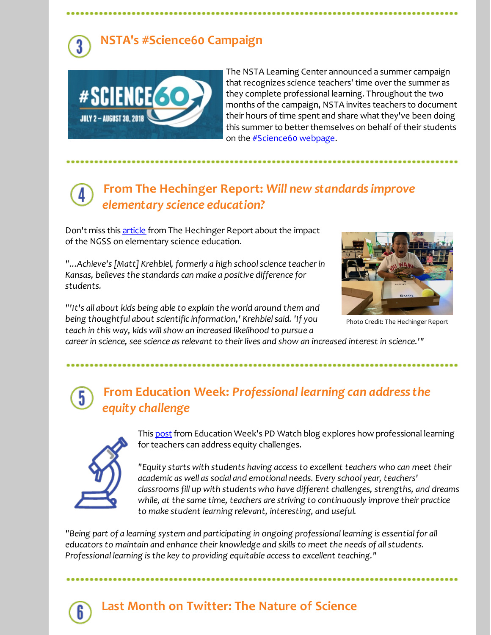#### **NSTA's #Science60 Campaign**



The NSTA Learning Center announced a summer campaign that recognizes science teachers' time over the summer as they complete professional learning. Throughout the two months of the campaign, NSTA invites teachers to document their hours of time spent and share what they've been doing this summer to better themselves on behalf of their students on the [#Science60](http://r20.rs6.net/tn.jsp?f=001WobU7Z_9bySiU1VrbRog3XNI23S5iasMX0m6H6zOZmVsHV5LLQUKniuyLOCiDxpX8trgs6GNZD6x1ABW_DnFxpekF4F1Txw-lRZ_HrsUVT6frMK8VjCDrKallzbLC_3ts4JLFa099rnp_meaGKOTyhpU-wUh2b09PHKZOs_85f1c2kJ8scU12YeG-8XR6i99lSw7S7mgsC8=&c=&ch=) webpage.

#### **From The Hechinger Report:** *Will new standardsimprove elementary science education?*

Don't miss this [article](http://r20.rs6.net/tn.jsp?f=001WobU7Z_9bySiU1VrbRog3XNI23S5iasMX0m6H6zOZmVsHV5LLQUKnnC6pJgGDUoae5eK3rmdg5CnSe9PekbM98XPeJlDUkhe5UU8PHAdXUCc91pNwI80es39DeqHm_cgMwWOcwwDdKh_fyIh9At9dQplE4Qbc-neQmctGcC9g3e4ZgCouzp0v_WgoeC1Q_K26b7dcTBgNYlhqdkb-l_VF1Zw9GEAtOE14O9bKkIY2z_GIjeyk36R8lGETABvvw1N&c=&ch=) from The Hechinger Report about the impact of the NGSS on elementary science education.

*"...Achieve's [Matt] Krehbiel, formerly a high schoolscience teacherin Kansas, believes the standards can make a positive difference for students.*

*"'It's all about kids being able to explain the world around them and being thoughtful about scientific information,' Krehbielsaid. 'If you teach in this way, kids willshow an increased likelihood to pursue a*



Photo Credit: The Hechinger Report

*careerin science, see science as relevant to theirlives and show an increased interest in science.'"*

#### **From Education Week:** *Professional learning can addressthe* 5 *equity challenge*



This [post](http://r20.rs6.net/tn.jsp?f=001WobU7Z_9bySiU1VrbRog3XNI23S5iasMX0m6H6zOZmVsHV5LLQUKnnC6pJgGDUoaNIO9EixeUVH9lACsw_2cHF1qdbXcJxnvoPnp_blXl332WSik3IKaJfRNpWoss61h17eYF1bDSCgJxa-_2wF364bW7wfZbIVnLWAtaReukqTtp3c6pBOz9fQ4DB6beBs-yYeJveXD5ce4zibrBOZioOH57ZqOQ-sMEeXULmFuQhG9kL9wiq9toZIO6mPj-uOEZVCqgQxQWYL-NfctTscs21B0HIc4jX5-le9KdjRkkvbgtd5mQ5osdLc50cU5YBfK&c=&ch=) from Education Week's PD Watch blog explores how professional learning for teachers can address equity challenges.

*"Equity starts with students having access to excellent teachers who can meet their academic as well as social and emotional needs. Every school year, teachers' classrooms fill up with students who have different challenges, strengths, and dreams while, at the same time, teachers are striving to continuously improve their practice to make student learning relevant, interesting, and useful.*

*"Being part of a learning system and participating in ongoing professional learning is essential for all educators to maintain and enhance their knowledge and skills to meet the needs of allstudents. Professional learning is the key to providing equitable access to excellent teaching."*



#### **Last Month on Twitter: The Nature of Science**